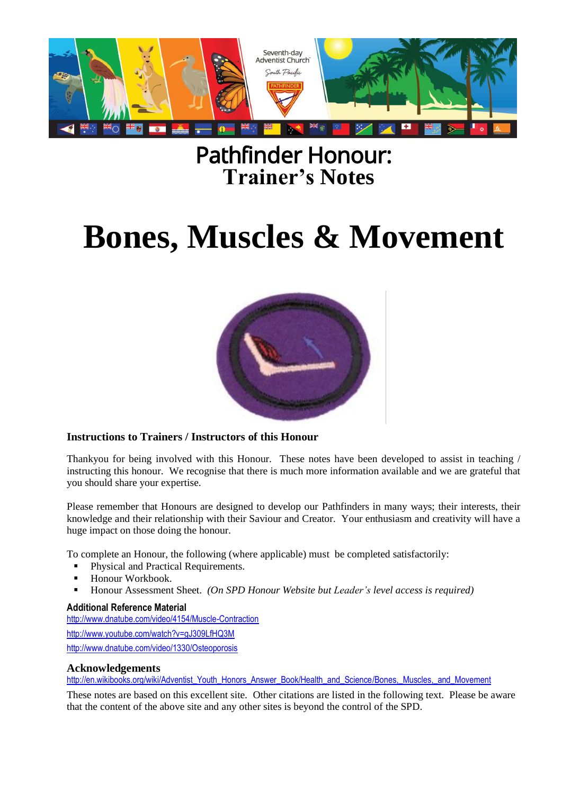

## Pathfinder Honour: **Trainer's Notes**

# **Bones, Muscles & Movement**



#### **Instructions to Trainers / Instructors of this Honour**

Thankyou for being involved with this Honour. These notes have been developed to assist in teaching / instructing this honour. We recognise that there is much more information available and we are grateful that you should share your expertise.

Please remember that Honours are designed to develop our Pathfinders in many ways; their interests, their knowledge and their relationship with their Saviour and Creator. Your enthusiasm and creativity will have a huge impact on those doing the honour.

To complete an Honour, the following (where applicable) must be completed satisfactorily:

- Physical and Practical Requirements.
- Honour Workbook.
- Honour Assessment Sheet. *(On SPD Honour Website but Leader's level access is required)*

#### **Additional Reference Material**

<http://www.dnatube.com/video/4154/Muscle-Contraction> <http://www.youtube.com/watch?v=gJ309LfHQ3M> <http://www.dnatube.com/video/1330/Osteoporosis>

#### **Acknowledgements**

[http://en.wikibooks.org/wiki/Adventist\\_Youth\\_Honors\\_Answer\\_Book/Health\\_and\\_Science/Bones,\\_Muscles,\\_and\\_Movement](http://en.wikibooks.org/wiki/Adventist_Youth_Honors_Answer_Book/Health_and_Science/Bones,_Muscles,_and_Movement)

These notes are based on this excellent site. Other citations are listed in the following text. Please be aware that the content of the above site and any other sites is beyond the control of the SPD.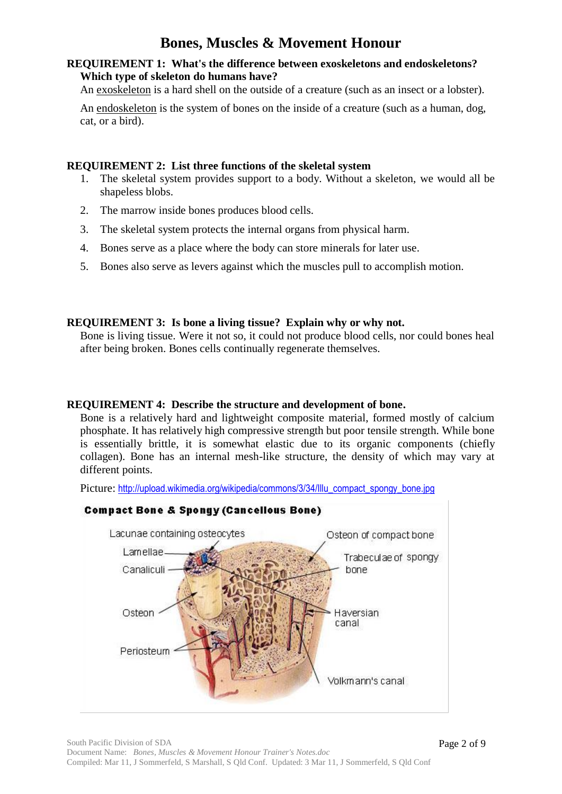#### **REQUIREMENT 1: What's the difference between exoskeletons and endoskeletons? Which type of skeleton do humans have?**

An exoskeleton is a hard shell on the outside of a creature (such as an insect or a lobster).

An endoskeleton is the system of bones on the inside of a creature (such as a human, dog, cat, or a bird).

#### **REQUIREMENT 2: List three functions of the skeletal system**

- 1. The skeletal system provides support to a body. Without a skeleton, we would all be shapeless blobs.
- 2. The marrow inside bones produces blood cells.
- 3. The skeletal system protects the internal organs from physical harm.
- 4. Bones serve as a place where the body can store minerals for later use.
- 5. Bones also serve as levers against which the muscles pull to accomplish motion.

#### **REQUIREMENT 3: Is bone a living tissue? Explain why or why not.**

Bone is living tissue. Were it not so, it could not produce blood cells, nor could bones heal after being broken. Bones cells continually regenerate themselves.

#### **REQUIREMENT 4: Describe the structure and development of bone.**

Bone is a relatively hard and lightweight composite material, formed mostly of calcium phosphate. It has relatively high compressive strength but poor tensile strength. While bone is essentially brittle, it is somewhat elastic due to its organic components (chiefly collagen). Bone has an internal mesh-like structure, the density of which may vary at different points.

Picture: [http://upload.wikimedia.org/wikipedia/commons/3/34/Illu\\_compact\\_spongy\\_bone.jpg](http://upload.wikimedia.org/wikipedia/commons/3/34/Illu_compact_spongy_bone.jpg)

#### **Compact Bone & Spongy (Cancellous Bone)**

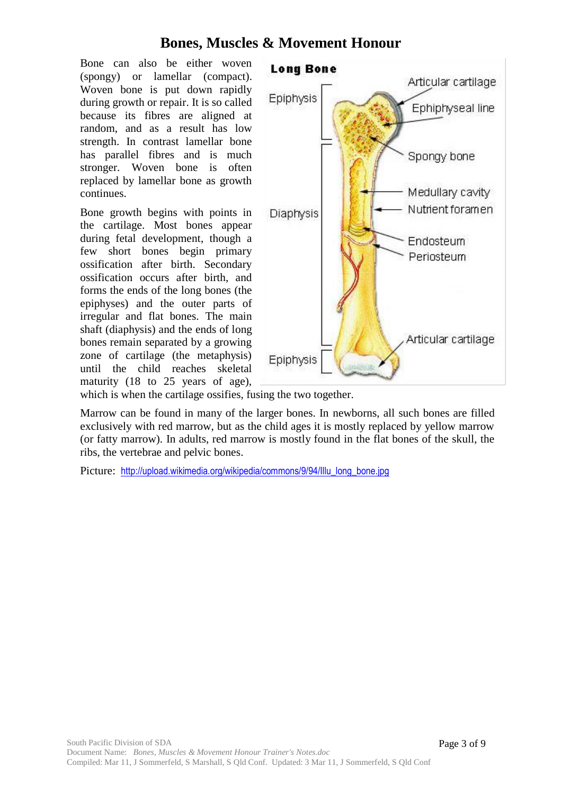Bone can also be either woven (spongy) or lamellar (compact). Woven bone is put down rapidly during growth or repair. It is so called because its fibres are aligned at random, and as a result has low strength. In contrast lamellar bone has parallel fibres and is much stronger. Woven bone is often replaced by lamellar bone as growth continues.

Bone growth begins with points in the cartilage. Most bones appear during fetal development, though a few short bones begin primary ossification after birth. Secondary ossification occurs after birth, and forms the ends of the long bones (the epiphyses) and the outer parts of irregular and flat bones. The main shaft (diaphysis) and the ends of long bones remain separated by a growing zone of cartilage (the metaphysis) until the child reaches skeletal maturity (18 to 25 years of age),



which is when the cartilage ossifies, fusing the two together.

Marrow can be found in many of the larger bones. In newborns, all such bones are filled exclusively with red marrow, but as the child ages it is mostly replaced by yellow marrow (or fatty marrow). In adults, red marrow is mostly found in the flat bones of the skull, the ribs, the vertebrae and pelvic bones.

Picture: [http://upload.wikimedia.org/wikipedia/commons/9/94/Illu\\_long\\_bone.jpg](http://upload.wikimedia.org/wikipedia/commons/9/94/Illu_long_bone.jpg)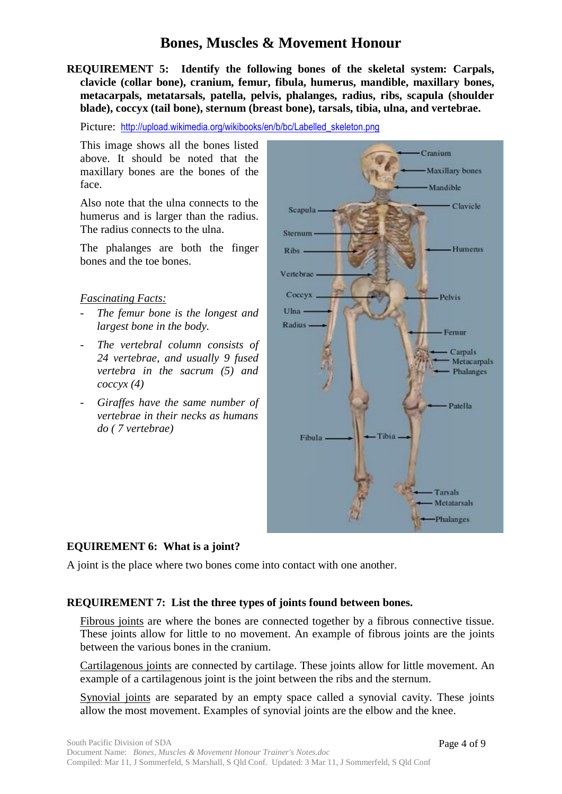**REQUIREMENT 5: Identify the following bones of the skeletal system: Carpals, clavicle (collar bone), cranium, femur, fibula, humerus, mandible, maxillary bones, metacarpals, metatarsals, patella, pelvis, phalanges, radius, ribs, scapula (shoulder blade), coccyx (tail bone), sternum (breast bone), tarsals, tibia, ulna, and vertebrae.**

Picture: http://upload.wikimedia.org/wikibooks/en/b/bc/Labelled skeleton.png

This image shows all the bones listed above. It should be noted that the maxillary bones are the bones of the face.

Also note that the ulna connects to the humerus and is larger than the radius. The radius connects to the ulna.

The phalanges are both the finger bones and the toe bones.

#### *Fascinating Facts:*

- The femur bone is the longest and *largest bone in the body.*
- The vertebral column consists of *24 vertebrae, and usually 9 fused vertebra in the sacrum (5) and coccyx (4)*
- *Giraffes have the same number of vertebrae in their necks as humans do ( 7 vertebrae)*



#### **EQUIREMENT 6: What is a joint?**

A joint is the place where two bones come into contact with one another.

#### **REQUIREMENT 7: List the three types of joints found between bones.**

Fibrous joints are where the bones are connected together by a fibrous connective tissue. These joints allow for little to no movement. An example of fibrous joints are the joints between the various bones in the cranium.

Cartilagenous joints are connected by cartilage. These joints allow for little movement. An example of a cartilagenous joint is the joint between the ribs and the sternum.

Synovial joints are separated by an empty space called a synovial cavity. These joints allow the most movement. Examples of synovial joints are the elbow and the knee.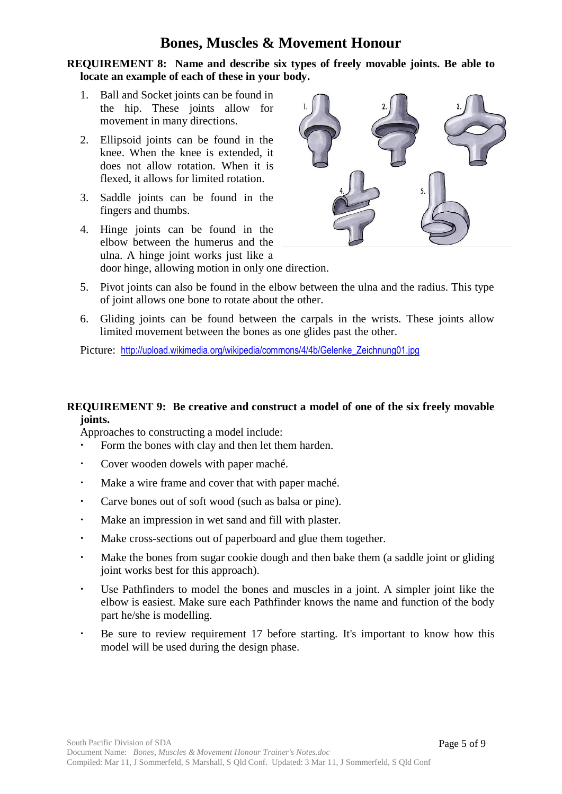**REQUIREMENT 8: Name and describe six types of freely movable joints. Be able to locate an example of each of these in your body.**

- 1. Ball and Socket joints can be found in the hip. These joints allow for movement in many directions.
- 2. Ellipsoid joints can be found in the knee. When the knee is extended, it does not allow rotation. When it is flexed, it allows for limited rotation.
- 3. Saddle joints can be found in the fingers and thumbs.
- 4. Hinge joints can be found in the elbow between the humerus and the ulna. A hinge joint works just like a door hinge, allowing motion in only one direction.



- 5. Pivot joints can also be found in the elbow between the ulna and the radius. This type of joint allows one bone to rotate about the other.
- 6. Gliding joints can be found between the carpals in the wrists. These joints allow limited movement between the bones as one glides past the other.

Picture: [http://upload.wikimedia.org/wikipedia/commons/4/4b/Gelenke\\_Zeichnung01.jpg](http://upload.wikimedia.org/wikipedia/commons/4/4b/Gelenke_Zeichnung01.jpg)

#### **REQUIREMENT 9: Be creative and construct a model of one of the six freely movable joints.**

Approaches to constructing a model include:

- Form the bones with clay and then let them harden.
- Cover wooden dowels with paper maché.
- Make a wire frame and cover that with paper maché.
- Carve bones out of soft wood (such as balsa or pine).
- Make an impression in wet sand and fill with plaster.
- Make cross-sections out of paperboard and glue them together.
- Make the bones from sugar cookie dough and then bake them (a saddle joint or gliding joint works best for this approach).
- Use Pathfinders to model the bones and muscles in a joint. A simpler joint like the elbow is easiest. Make sure each Pathfinder knows the name and function of the body part he/she is modelling.
- Be sure to review requirement 17 before starting. It's important to know how this model will be used during the design phase.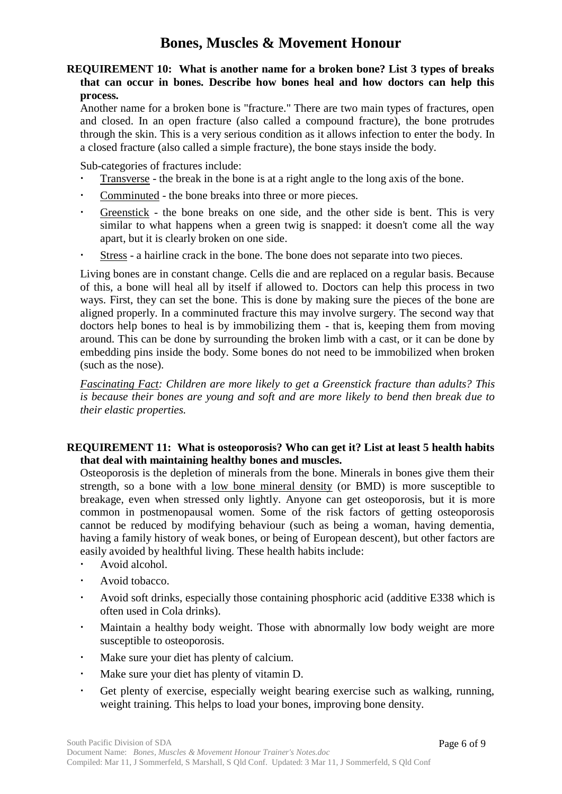**REQUIREMENT 10: What is another name for a broken bone? List 3 types of breaks that can occur in bones. Describe how bones heal and how doctors can help this process.**

Another name for a broken bone is "fracture." There are two main types of fractures, open and closed. In an open fracture (also called a compound fracture), the bone protrudes through the skin. This is a very serious condition as it allows infection to enter the body. In a closed fracture (also called a simple fracture), the bone stays inside the body.

Sub-categories of fractures include:

- Transverse the break in the bone is at a right angle to the long axis of the bone.
- Comminuted the bone breaks into three or more pieces.
- Greenstick the bone breaks on one side, and the other side is bent. This is very similar to what happens when a green twig is snapped: it doesn't come all the way apart, but it is clearly broken on one side.
- Stress a hairline crack in the bone. The bone does not separate into two pieces.

Living bones are in constant change. Cells die and are replaced on a regular basis. Because of this, a bone will heal all by itself if allowed to. Doctors can help this process in two ways. First, they can set the bone. This is done by making sure the pieces of the bone are aligned properly. In a comminuted fracture this may involve surgery. The second way that doctors help bones to heal is by immobilizing them - that is, keeping them from moving around. This can be done by surrounding the broken limb with a cast, or it can be done by embedding pins inside the body. Some bones do not need to be immobilized when broken (such as the nose).

*Fascinating Fact: Children are more likely to get a Greenstick fracture than adults? This is because their bones are young and soft and are more likely to bend then break due to their elastic properties.*

#### **REQUIREMENT 11: What is osteoporosis? Who can get it? List at least 5 health habits that deal with maintaining healthy bones and muscles.**

Osteoporosis is the depletion of minerals from the bone. Minerals in bones give them their strength, so a bone with a low bone mineral density (or BMD) is more susceptible to breakage, even when stressed only lightly. Anyone can get osteoporosis, but it is more common in postmenopausal women. Some of the risk factors of getting osteoporosis cannot be reduced by modifying behaviour (such as being a woman, having dementia, having a family history of weak bones, or being of European descent), but other factors are easily avoided by healthful living. These health habits include:

- Avoid alcohol.
- Avoid tobacco.
- Avoid soft drinks, especially those containing phosphoric acid (additive E338 which is often used in Cola drinks).
- Maintain a healthy body weight. Those with abnormally low body weight are more susceptible to osteoporosis.
- Make sure your diet has plenty of calcium.
- Make sure your diet has plenty of vitamin D.
- Get plenty of exercise, especially weight bearing exercise such as walking, running, weight training. This helps to load your bones, improving bone density.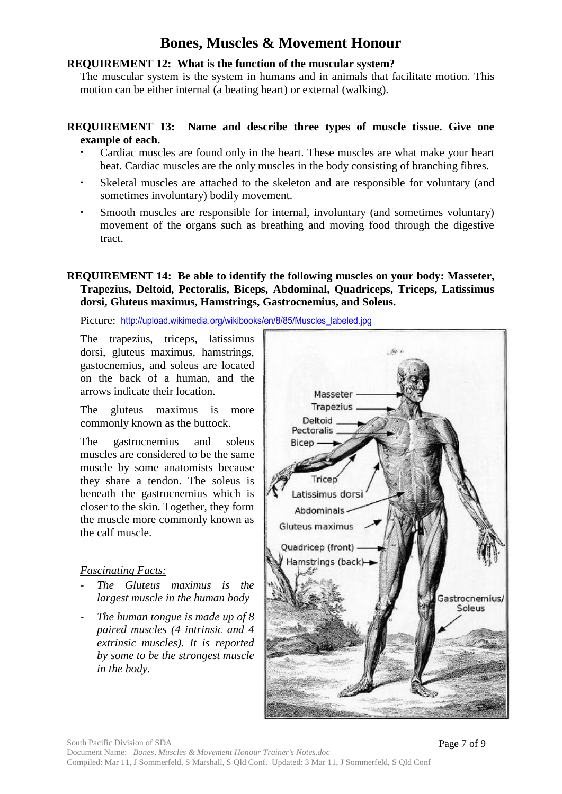#### **REQUIREMENT 12: What is the function of the muscular system?**

The muscular system is the system in humans and in animals that facilitate motion. This motion can be either internal (a beating heart) or external (walking).

#### **REQUIREMENT 13: Name and describe three types of muscle tissue. Give one example of each.**

- Cardiac muscles are found only in the heart. These muscles are what make your heart beat. Cardiac muscles are the only muscles in the body consisting of branching fibres.
- Skeletal muscles are attached to the skeleton and are responsible for voluntary (and sometimes involuntary) bodily movement.
- Smooth muscles are responsible for internal, involuntary (and sometimes voluntary) movement of the organs such as breathing and moving food through the digestive tract.

#### **REQUIREMENT 14: Be able to identify the following muscles on your body: Masseter, Trapezius, Deltoid, Pectoralis, Biceps, Abdominal, Quadriceps, Triceps, Latissimus dorsi, Gluteus maximus, Hamstrings, Gastrocnemius, and Soleus.**

Picture: [http://upload.wikimedia.org/wikibooks/en/8/85/Muscles\\_labeled.jpg](http://upload.wikimedia.org/wikibooks/en/8/85/Muscles_labeled.jpg)

The trapezius, triceps, latissimus dorsi, gluteus maximus, hamstrings, gastocnemius, and soleus are located on the back of a human, and the arrows indicate their location.

The gluteus maximus is more commonly known as the buttock.

The gastrocnemius and soleus muscles are considered to be the same muscle by some anatomists because they share a tendon. The soleus is beneath the gastrocnemius which is closer to the skin. Together, they form the muscle more commonly known as the calf muscle.

#### *Fascinating Facts:*

- *The Gluteus maximus is the largest muscle in the human body*
- *The human tongue is made up of 8 paired muscles (4 intrinsic and 4 extrinsic muscles). It is reported by some to be the strongest muscle in the body.*

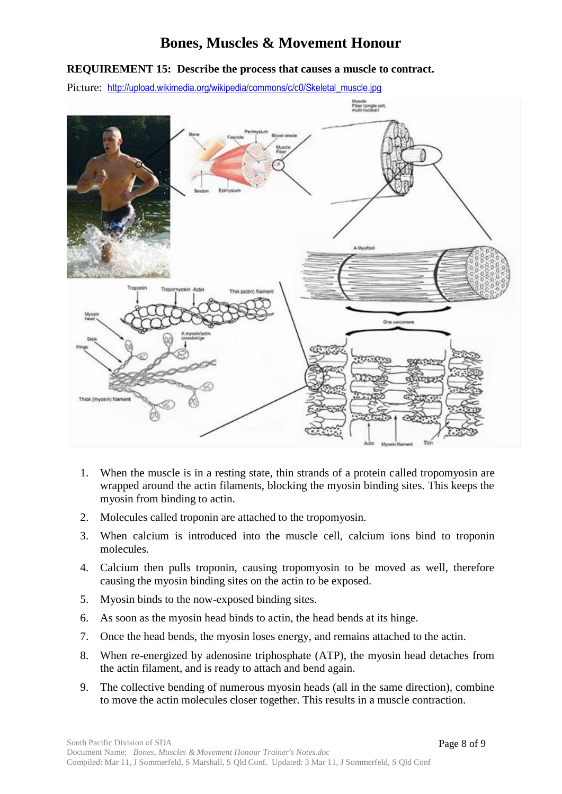#### **REQUIREMENT 15: Describe the process that causes a muscle to contract.**

Picture: [http://upload.wikimedia.org/wikipedia/commons/c/c0/Skeletal\\_muscle.jpg](http://upload.wikimedia.org/wikipedia/commons/c/c0/Skeletal_muscle.jpg)



- 1. When the muscle is in a resting state, thin strands of a protein called tropomyosin are wrapped around the actin filaments, blocking the myosin binding sites. This keeps the myosin from binding to actin.
- 2. Molecules called troponin are attached to the tropomyosin.
- 3. When calcium is introduced into the muscle cell, calcium ions bind to troponin molecules.
- 4. Calcium then pulls troponin, causing tropomyosin to be moved as well, therefore causing the myosin binding sites on the actin to be exposed.
- 5. Myosin binds to the now-exposed binding sites.
- 6. As soon as the myosin head binds to actin, the head bends at its hinge.
- 7. Once the head bends, the myosin loses energy, and remains attached to the actin.
- 8. When re-energized by adenosine triphosphate (ATP), the myosin head detaches from the actin filament, and is ready to attach and bend again.
- 9. The collective bending of numerous myosin heads (all in the same direction), combine to move the actin molecules closer together. This results in a muscle contraction.